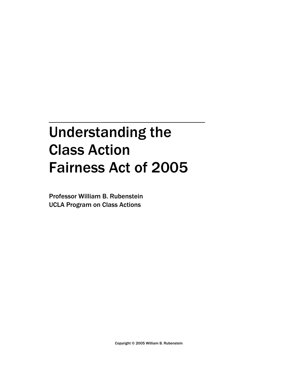# Understanding the Class Action Fairness Act of 2005

Professor William B. Rubenstein UCLA Program on Class Actions

Copyright © 2005 William B. Rubenstein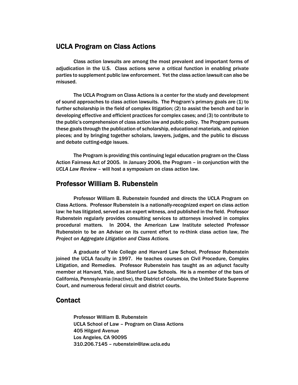# UCLA Program on Class Actions

Class action lawsuits are among the most prevalent and important forms of adjudication in the U.S. Class actions serve a critical function in enabling private parties to supplement public law enforcement. Yet the class action lawsuit can also be misused.

The UCLA Program on Class Actions is a center for the study and development of sound approaches to class action lawsuits. The Program's primary goals are (1) to further scholarship in the field of complex litigation; (2) to assist the bench and bar in developing effective and efficient practices for complex cases; and (3) to contribute to the public's comprehension of class action law and public policy. The Program pursues these goals through the publication of scholarship, educational materials, and opinion pieces; and by bringing together scholars, lawyers, judges, and the public to discuss and debate cutting-edge issues.

The Program is providing this continuing legal education program on the Class Action Fairness Act of 2005. In January 2006, the Program – in conjunction with the *UCLA Law Review* – will host a symposium on class action law.

## Professor William B. Rubenstein

Professor William B. Rubenstein founded and directs the UCLA Program on Class Actions. Professor Rubenstein is a nationally-recognized expert on class action law: he has litigated, served as an expert witness, and published in the field. Professor Rubenstein regularly provides consulting services to attorneys involved in complex procedural matters. In 2004, the American Law Institute selected Professor Rubenstein to be an Adviser on its current effort to re-think class action law, *The Project on Aggregate Litigation and Class Actions.* 

A graduate of Yale College and Harvard Law School, Professor Rubenstein joined the UCLA faculty in 1997. He teaches courses on Civil Procedure, Complex Litigation, and Remedies. Professor Rubenstein has taught as an adjunct faculty member at Harvard, Yale, and Stanford Law Schools. He is a member of the bars of California, Pennsylvania (inactive), the District of Columbia, the United State Supreme Court, and numerous federal circuit and district courts.

## **Contact**

Professor William B. Rubenstein UCLA School of Law – Program on Class Actions 405 Hilgard Avenue Los Angeles, CA 90095 310.206.7145 – rubenstein@law.ucla.edu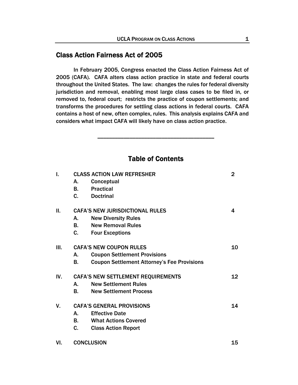# Class Action Fairness Act of 2005

In February 2005, Congress enacted the Class Action Fairness Act of 2005 (CAFA). CAFA alters class action practice in state and federal courts throughout the United States. The law: changes the rules for federal diversity jurisdiction and removal, enabling most large class cases to be filed in, or removed to, federal court; restricts the practice of coupon settlements; and transforms the procedures for settling class actions in federal courts. CAFA contains a host of new, often complex, rules. This analysis explains CAFA and considers what impact CAFA will likely have on class action practice.

## Table of Contents

\_\_\_\_\_\_\_\_\_\_\_\_\_\_\_\_\_\_\_\_\_\_\_\_\_\_\_\_\_\_\_\_\_\_\_\_\_\_\_\_

| I.  | <b>CLASS ACTION LAW REFRESHER</b>               |                                                    |    |  |
|-----|-------------------------------------------------|----------------------------------------------------|----|--|
|     | А.                                              | Conceptual                                         |    |  |
|     | <b>B.</b>                                       | <b>Practical</b>                                   |    |  |
|     | C.                                              | <b>Doctrinal</b>                                   |    |  |
| Ш.  | <b>CAFA'S NEW JURISDICTIONAL RULES</b>          |                                                    |    |  |
|     | А.                                              | <b>New Diversity Rules</b>                         |    |  |
|     | <b>B</b> .                                      | <b>New Removal Rules</b>                           |    |  |
|     | C.                                              | <b>Four Exceptions</b>                             |    |  |
| Ш.  | <b>CAFA'S NEW COUPON RULES</b>                  |                                                    |    |  |
|     | А.                                              | <b>Coupon Settlement Provisions</b>                |    |  |
|     | В.                                              | <b>Coupon Settlement Attorney's Fee Provisions</b> |    |  |
| IV. | <b>CAFA'S NEW SETTLEMENT REQUIREMENTS</b><br>12 |                                                    |    |  |
|     | А.                                              | <b>New Settlement Rules</b>                        |    |  |
|     | В.                                              | <b>New Settlement Process</b>                      |    |  |
| V.  | <b>CAFA'S GENERAL PROVISIONS</b>                |                                                    |    |  |
|     | A.                                              | <b>Effective Date</b>                              |    |  |
|     | <b>B</b> .                                      | <b>What Actions Covered</b>                        |    |  |
|     | C.                                              | <b>Class Action Report</b>                         |    |  |
| VI. | <b>CONCLUSION</b>                               |                                                    | 15 |  |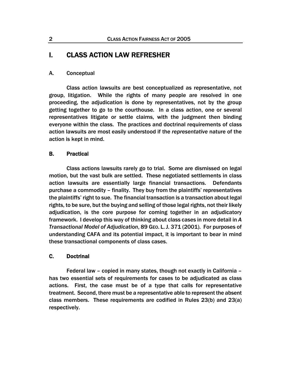# I. CLASS ACTION LAW REFRESHER

## A. Conceptual

Class action lawsuits are best conceptualized as representative, not group, litigation. While the rights of many people are resolved in one proceeding, the adjudication is done by representatives, not by the group getting together to go to the courthouse. In a class action, one or several representatives litigate or settle claims, with the judgment then binding everyone within the class. The practices and doctrinal requirements of class action lawsuits are most easily understood if the *representative* nature of the action is kept in mind.

## B. Practical

Class actions lawsuits rarely go to trial. Some are dismissed on legal motion, but the vast bulk are settled. These negotiated settlements in class action lawsuits are essentially large financial transactions. Defendants purchase a commodity – finality. They buy from the plaintiffs' representatives the plaintiffs' right to sue. The financial transaction is a transaction about legal rights, to be sure, but the buying and selling of those legal rights, not their likely adjudication, is the core purpose for coming together in an adjudicatory framework. I develop this way of thinking about class cases in more detail in *A Transactional Model of Adjudication*, 89 GEO. L.J. 371 (2001). For purposes of understanding CAFA and its potential impact, it is important to bear in mind these transactional components of class cases.

## C. Doctrinal

Federal law – copied in many states, though not exactly in California – has two essential sets of requirements for cases to be adjudicated as class actions. First, the case must be of a type that calls for representative treatment. Second, there must be a representative able to represent the absent class members. These requirements are codified in Rules 23(b) and 23(a) respectively.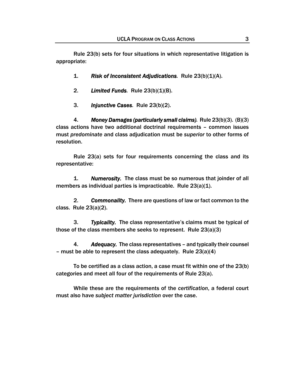Rule 23(b) sets for four situations in which representative litigation is appropriate:

- 1. *Risk of Inconsistent Adjudications.* Rule 23(b)(1)(A).
- 2. *Limited Funds.* Rule 23(b)(1)(B).
- 3. *Injunctive Cases.* Rule 23(b)(2).

4. *Money Damages (particularly small claims).* Rule 23(b)(3). (B)(3) class actions have two additional doctrinal requirements – common issues must *predominate* and class adjudication must be *superior* to other forms of resolution.

Rule 23(a) sets for four requirements concerning the class and its representative:

1. *Numerosity.* The class must be so numerous that joinder of all members as individual parties is impracticable. Rule 23(a)(1).

2. *Commonality.* There are questions of law or fact common to the class. Rule 23(a)(2).

3. *Typicality.* The class representative's claims must be typical of those of the class members she seeks to represent. Rule 23(a)(3)

4. *Adequacy.* The class representatives – and typically their counsel – must be able to represent the class adequately. Rule 23(a)(4)

To be certified as a class action, a case must fit within one of the 23(b) categories and meet all four of the requirements of Rule 23(a).

While these are the requirements of the *certification*, a federal court must also have *subject matter jurisdiction* over the case.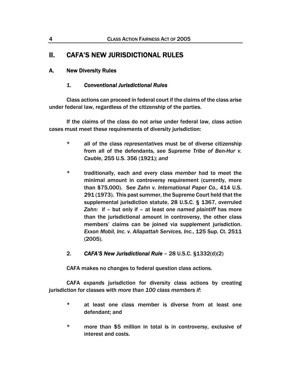# II. CAFA'S NEW JURISDICTIONAL RULES

## A. New Diversity Rules

## 1. *Conventional Jurisdictional Rules*

Class actions can proceed in federal court if the claims of the class arise under federal law, regardless of the citizenship of the parties.

If the claims of the class do not arise under federal law, class action cases must meet these requirements of diversity jurisdiction:

- \* all of the class *representatives* must be of diverse citizenship from all of the defendants, *see Supreme Tribe of Ben-Hur v. Cauble*, 255 U.S. 356 (1921); *and*
- \* traditionally, each and every class *member* had to meet the minimal amount in controversy requirement (currently, more than \$75,000). S*ee Zahn v. International Paper Co.,* 414 U.S. 291 (1973). This past summer, the Supreme Court held that the supplemental jurisdiction statute, 28 U.S.C. § 1367, overruled *Zahn:* if – but only if – at least *one named plaintiff* has more than the jurisdictional amount in controversy, the other class members' claims can be joined via supplement jurisdiction. *Exxon Mobil, Inc. v. Allapattah Services, Inc.*, 125 Sup. Ct. 2511 (2005).
- 2. *CAFA'S New Jurisdictional Rule* 28 U.S.C. §1332(d)(2)

CAFA makes no changes to federal question class actions.

CAFA *expands* jurisdiction for diversity class actions by creating jurisdiction for classes with *more than 100 class members if:*

- \* at least one class member is diverse from at least one defendant; and
- \* more than \$5 million in total is in controversy, exclusive of interest and costs.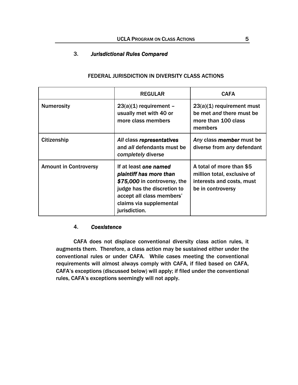## 3. *Jurisdictional Rules Compared*

|                              | <b>REGULAR</b>                                                                                                                                                                           | <b>CAFA</b>                                                                                               |
|------------------------------|------------------------------------------------------------------------------------------------------------------------------------------------------------------------------------------|-----------------------------------------------------------------------------------------------------------|
| <b>Numerosity</b>            | $23(a)(1)$ requirement -<br>usually met with 40 or<br>more class members                                                                                                                 | $23(a)(1)$ requirement must<br>be met and there must be<br>more than 100 class<br>members                 |
| Citizenship                  | All class representatives<br>and all defendants must be<br>completely diverse                                                                                                            | Any class member must be<br>diverse from any defendant                                                    |
| <b>Amount in Controversy</b> | If at least one named<br>plaintiff has more than<br>\$75,000 in controversy, the<br>judge has the discretion to<br>accept all class members'<br>claims via supplemental<br>jurisdiction. | A total of more than \$5<br>million total, exclusive of<br>interests and costs, must<br>be in controversy |

## FEDERAL JURISDICTION IN DIVERSITY CLASS ACTIONS

## 4. *Coexistence*

CAFA does not displace conventional diversity class action rules, it augments them. Therefore, a class action may be sustained either under the conventional rules or under CAFA. While cases meeting the conventional requirements will almost always comply with CAFA, if filed based on CAFA, CAFA's exceptions (discussed below) will apply; if filed under the conventional rules, CAFA's exceptions seemingly will not apply.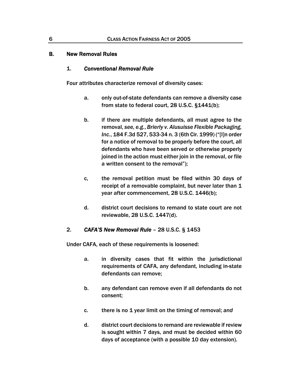## B. New Removal Rules

#### 1. *Conventional Removal Rule*

Four attributes characterize removal of diversity cases:

- a. only out-of-state defendants can remove a diversity case from state to federal court, 28 U.S.C. §1441(b);
- b. if there are multiple defendants, all must agree to the removal, *see, e.g.*, *Brierly v. Alusuisse Flexible Packaging, Inc.*, 184 F.3d 527, 533-34 n. 3 (6th Cir. 1999) ("[I]n order for a notice of removal to be properly before the court, all defendants who have been served or otherwise properly joined in the action must either join in the removal, or file a written consent to the removal");
- c, the removal petition must be filed within 30 days of receipt of a removable complaint, but never later than 1 year after commencement, 28 U.S.C. 1446(b);
- d. district court decisions to remand to state court are not reviewable, 28 U.S.C. 1447(d).

## 2. *CAFA'S New Removal Rule* – 28 U.S.C. § 1453

Under CAFA, each of these requirements is loosened:

- a. in diversity cases that fit within the jurisdictional requirements of CAFA, any defendant, including in-state defendants can remove;
- b. any defendant can remove even if all defendants do not consent;
- c. there is no 1 year limit on the timing of removal; *and*
- d. district court decisions to remand are reviewable if review is sought within 7 days, and must be decided within 60 days of acceptance (with a possible 10 day extension).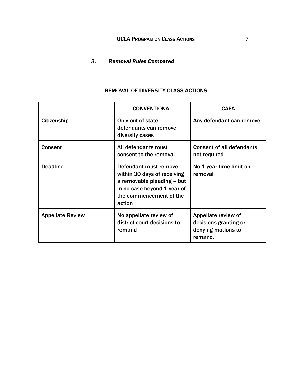## 3. *Removal Rules Compared*

|                         | <b>CONVENTIONAL</b>                                                                                                                                    | <b>CAFA</b>                                                                   |
|-------------------------|--------------------------------------------------------------------------------------------------------------------------------------------------------|-------------------------------------------------------------------------------|
| Citizenship             | Only out-of-state<br>defendants can remove<br>diversity cases                                                                                          | Any defendant can remove                                                      |
| <b>Consent</b>          | All defendants must<br>consent to the removal                                                                                                          | <b>Consent of all defendants</b><br>not required                              |
| <b>Deadline</b>         | Defendant must remove<br>within 30 days of receiving<br>a removable pleading - but<br>in no case beyond 1 year of<br>the commencement of the<br>action | No 1 year time limit on<br>removal                                            |
| <b>Appellate Review</b> | No appellate review of<br>district court decisions to<br>remand                                                                                        | Appellate review of<br>decisions granting or<br>denying motions to<br>remand. |

## REMOVAL OF DIVERSITY CLASS ACTIONS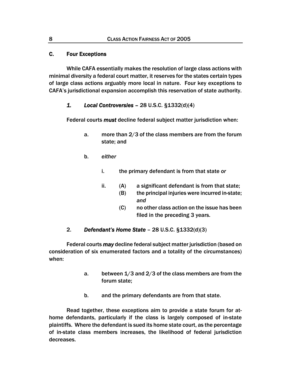## C. Four Exceptions

While CAFA essentially makes the resolution of large class actions with minimal diversity a federal court matter, it reserves for the states certain types of large class actions arguably more local in nature. Four key exceptions to CAFA's jurisdictional expansion accomplish this reservation of state authority.

## *1. Local Controversies –* 28 U.S.C. §1332(d)(4)

Federal courts *must* decline federal subject matter jurisdiction when:

- a. more than 2/3 of the class members are from the forum state; and
- b. *either*
	- i. the primary defendant is from that state *or*
	- ii. (A) a significant defendant is from that state;
		- (B) the principal injuries were incurred in-state; *and*
		- (C) no other class action on the issue has been filed in the preceding 3 years.

## 2. *Defendant's Home State* – 28 U.S.C. §1332(d)(3)

Federal courts *may* decline federal subject matter jurisdiction (based on consideration of six enumerated factors and a totality of the circumstances) when:

- a. between 1/3 and 2/3 of the class members are from the forum state;
- b. and the primary defendants are from that state.

Read together, these exceptions aim to provide a state forum for athome defendants, particularly if the class is largely composed of in-state plaintiffs. Where the defendant is sued its home state court, as the percentage of in-state class members increases, the likelihood of federal jurisdiction decreases.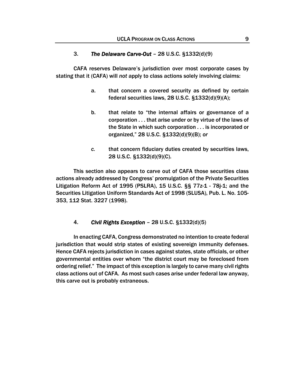#### 3. *The Delaware Carve-Out* – 28 U.S.C. §1332(d)(9)

CAFA reserves Delaware's jurisdiction over most corporate cases by stating that it (CAFA) will *not* apply to class actions solely involving claims:

- a. that concern a covered security as defined by certain federal securities laws, 28 U.S.C. §1332(d)(9)(A);
- b. that relate to "the internal affairs or governance of a corporation . . . that arise under or by virtue of the laws of the State in which such corporation . . . is incorporated or organized," 28 U.S.C. §1332(d)(9)(B); *or*
- *c.* that concern fiduciary duties created by securities laws, 28 U.S.C. §1332(d)(9)(C).

This section also appears to carve out of CAFA those securities class actions already addressed by Congress' promulgation of the Private Securities Litigation Reform Act of 1995 (PSLRA), 15 U.S.C. §§ 77z-1 - 78j-1; and the Securities Litigation Uniform Standards Act of 1998 (SLUSA), Pub. L. No. 105- 353, 112 Stat. 3227 (1998).

## 4. *Civil Rights Exception* – 28 U.S.C. §1332(d)(5)

In enacting CAFA, Congress demonstrated no intention to create federal jurisdiction that would strip states of existing sovereign immunity defenses. Hence CAFA rejects jurisdiction in cases against states, state officials, or other governmental entities over whom "the district court may be foreclosed from ordering relief." The impact of this exception is largely to carve many civil rights class actions out of CAFA. As most such cases arise under federal law anyway, this carve out is probably extraneous.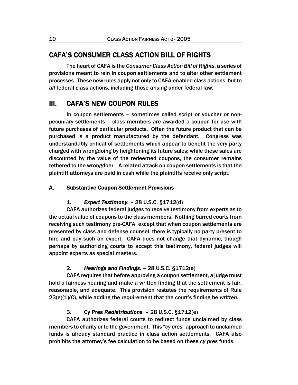## CAFA'S CONSUMER CLASS ACTION BILL OF RIGHTS

 The heart of CAFA is the *Consumer Class Action Bill of Rights*, a series of provisions meant to rein in coupon settlements and to alter other settlement processes. These new rules apply not only to CAFA-enabled class actions, but to *all* federal class actions, including those arising under federal law.

## III. CAFA'S NEW COUPON RULES

 In coupon settlements – sometimes called script or voucher or nonpecuniary settlements – class members are awarded a coupon for use with future purchases of particular products. Often the future product that can be purchased is a product manufactured by the defendant. Congress was understandably critical of settlements which appear to benefit the very party charged with wrongdoing by heightening its future sales; while these sales are discounted by the value of the redeemed coupons, the consumer remains tethered to the wrongdoer. A related attack on coupon settlements is that the plaintiff attorneys are paid in cash while the plaintiffs receive only script.

#### A. Substantive Coupon Settlement Provisions

#### 1. *Expert Testimony. –* 28 U.S.C. §1712(d)

CAFA authorizes federal judges to receive testimony from experts as to the actual value of coupons to the class members. Nothing barred courts from receiving such testimony pre-CAFA, except that when coupon settlements are presented by class and defense counsel, there is typically no party present to hire and pay such an expert. CAFA does not change that dynamic, though perhaps by authorizing courts to accept this testimony, federal judges will appoint experts as special masters.

#### 2. *Hearings and Findings.* – 28 U.S.C. §1712(e)

CAFA requires that before approving a coupon settlement, a judge must hold a fairness hearing and make a written finding that the settlement is fair, reasonable, and adequate. This provision restates the requirements of Rule 23(e)(1)(C), while adding the requirement that the court's finding be *written*.

#### 3. Cy Pres *Redistributions. –* 28 U.S.C. §1712(e)

CAFA authorizes federal courts to redirect funds unclaimed by class members to charity or to the government. This "*cy pres*" approach to unclaimed funds is already standard practice in class action settlements. CAFA also prohibits the attorney's fee calculation to be based on these *cy pres* funds.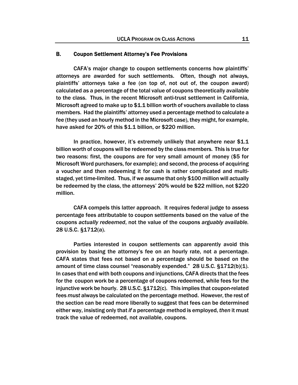#### B. Coupon Settlement Attorney's Fee Provisions

CAFA's major change to coupon settlements concerns how plaintiffs' attorneys are awarded for such settlements. Often, though not always, plaintiffs' attorneys take a fee (on top of, not out of, the coupon award) calculated as a percentage of the total value of coupons theoretically available to the class. Thus, in the recent Microsoft anti-trust settlement in California, Microsoft agreed to make up to \$1.1 billion worth of vouchers available to class members. Had the plaintiffs' attorney used a percentage method to calculate a fee (they used an hourly method in the Microsoft case), they might, for example, have asked for 20% of this \$1.1 billion, or \$220 million.

In practice, however, it's extremely unlikely that anywhere near \$1.1 billion worth of coupons will be redeemed by the class members. This is true for two reasons: first, the coupons are for very small amount of money (\$5 for Microsoft Word purchasers, for example); and second, the process of acquiring a voucher and then redeeming it for cash is rather complicated and multistaged, yet time-limited. Thus, if we assume that only \$100 million will actually be redeemed by the class, the attorneys' 20% would be \$22 million, not \$220 million.

CAFA compels this latter approach. It requires federal judge to assess percentage fees attributable to coupon settlements based on the value of the coupons *actually redeemed*, not the value of the coupons *arguably available.* 28 U.S.C. §1712(a).

Parties interested in coupon settlements can apparently avoid this provision by basing the attorney's fee on an hourly rate, not a percentage. CAFA states that fees not based on a percentage should be based on the amount of time class counsel "reasonably expended." 28 U.S.C. §1712(b)(1). In cases that end with both coupons and injunctions, CAFA directs that the fees for the coupon work be a percentage of coupons redeemed, while fees for the injunctive work be hourly. 28 U.S.C. §1712(c). This implies that coupon-related fees *must* always be calculated on the percentage method. However, the rest of the section can be read more liberally to suggest that fees can be determined either way, insisting only that *if* a percentage method is employed, *then* it must track the value of redeemed, not available, coupons.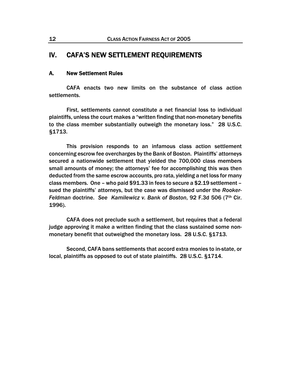# IV. CAFA'S NEW SETTLEMENT REQUIREMENTS

#### A. New Settlement Rules

CAFA enacts two new limits on the substance of class action settlements.

First, settlements cannot constitute a net financial loss to individual plaintiffs, unless the court makes a "written finding that non-monetary benefits to the class member substantially outweigh the monetary loss." 28 U.S.C. §1713.

This provision responds to an infamous class action settlement concerning escrow fee overcharges by the Bank of Boston. Plaintiffs' attorneys secured a nationwide settlement that yielded the 700,000 class members small amounts of money; the attorneys' fee for accomplishing this was then deducted from the same escrow accounts, pro rata, yielding a net loss for many class members. One – who paid \$91.33 in fees to secure a \$2.19 settlement – sued the plaintiffs' attorneys, but the case was dismissed under the *Rooker-Feldman* doctrine. *See Kamilewicz v. Bank of Boston*, 92 F.3d 506 (7th Cir. 1996).

CAFA does not preclude such a settlement, but requires that a federal judge approving it make a written finding that the class sustained some nonmonetary benefit that outweighed the monetary loss. 28 U.S.C. §1713.

Second, CAFA bans settlements that accord extra monies to in-state, or local, plaintiffs as opposed to out of state plaintiffs. 28 U.S.C. §1714.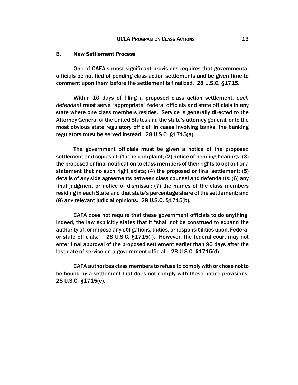#### B. New Settlement Process

One of CAFA's most significant provisions requires that governmental officials be notified of pending class action settlements and be given time to comment upon them before the settlement is finalized. 28 U.S.C. §1715.

Within 10 days of filing a proposed class action settlement, *each defendant* must serve "appropriate" federal officials and state officials in any state where one class members resides. Service is generally directed to the Attorney General of the United States and the state's attorney general, or to the most obvious state regulatory official; in cases involving banks, the banking regulators must be served instead. 28 U.S.C. §1715(a).

The government officials must be given a notice of the proposed settlement and copies of: (1) the complaint; (2) notice of pending hearings; (3) the proposed or final notification to class members of their rights to opt out or a statement that no such right exists; (4) the proposed or final settlement; (5) details of any side agreements between class counsel and defendants; (6) any final judgment or notice of dismissal; (7) the names of the class members residing in each State and that state's percentage share of the settlement; and (8) any relevant judicial opinions. 28 U.S.C. §1715(b).

CAFA does not require that these government officials to do anything; indeed, the law explicitly states that it "shall not be construed to expand the authority of, or impose any obligations, duties, or responsibilities upon, Federal or state officials." 28 U.S.C. §1715(f). However, the federal court may not enter final approval of the proposed settlement earlier than 90 days after the last date of service on a government official. 28 U.S.C. §1715(d).

CAFA authorizes class members to refuse to comply with or chose not to be bound by a settlement that does not comply with these notice provisions. 28 U.S.C. §1715(e).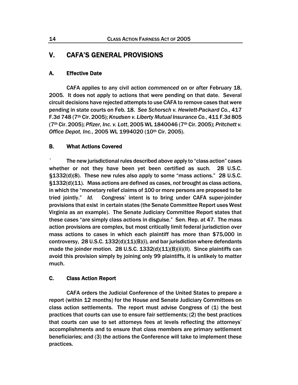# V. CAFA'S GENERAL PROVISIONS

## A. Effective Date

CAFA applies to any civil action *commenced* on or after February 18, 2005. It does not apply to actions that were pending on that date. Several circuit decisions have rejected attempts to use CAFA to remove cases that were pending in state courts on Feb. 18. *See Schorsch v. Hewlett-Packard Co.*, 417 F.3d 748 (7th Cir. 2005); *Knudsen v. Liberty Mutual Insurance Co.*, 411 F.3d 805 (7th Cir. 2005); *Pfizer, Inc. v. Lott*, 2005 WL 1840046 (7th Cir. 2005); *Pritchett v. Office Depot, Inc.*, 2005 WL 1994020 (10th Cir. 2005).

## B. What Actions Covered

` The new jurisdictional rules described above apply to "class action" cases whether or not they have been yet been certified as such. 28 U.S.C. §1332(d)(8). These new rules also apply to some "mass actions." 28 U.S.C. §1332(d)(11). Mass actions are defined as cases, *not* brought as class actions, in which the "monetary relief claims of 100 or more persons are proposed to be tried jointly." *Id.* Congress' intent is to bring under CAFA super-joinder provisions that exist in certain states (the Senate Committee Report uses West Virginia as an example). The Senate Judiciary Committee Report states that these cases "are simply class actions in disguise." Sen. Rep. at 47. The mass action provisions are complex, but most critically limit federal jurisdiction over mass actions to cases in which each plaintiff has more than \$75,000 in controversy, 28 U.S.C.  $1332(d)(11)(B)(i)$ , and bar jurisdiction where defendants made the joinder motion. 28 U.S.C.  $1332(d)(11)(B)(ii)(II)$ . Since plaintiffs can avoid this provision simply by joining only 99 plaintiffs, it is unlikely to matter much.

## C. Class Action Report

CAFA orders the Judicial Conference of the United States to prepare a report (within 12 months) for the House and Senate Judiciary Committees on class action settlements. The report must advise Congress of (1) the best practices that courts can use to ensure fair settlements; (2) the best practices that courts can use to set attorneys fees at levels reflecting the attorneys' accomplishments and to ensure that class members are primary settlement beneficiaries; and (3) the actions the Conference will take to implement these practices.